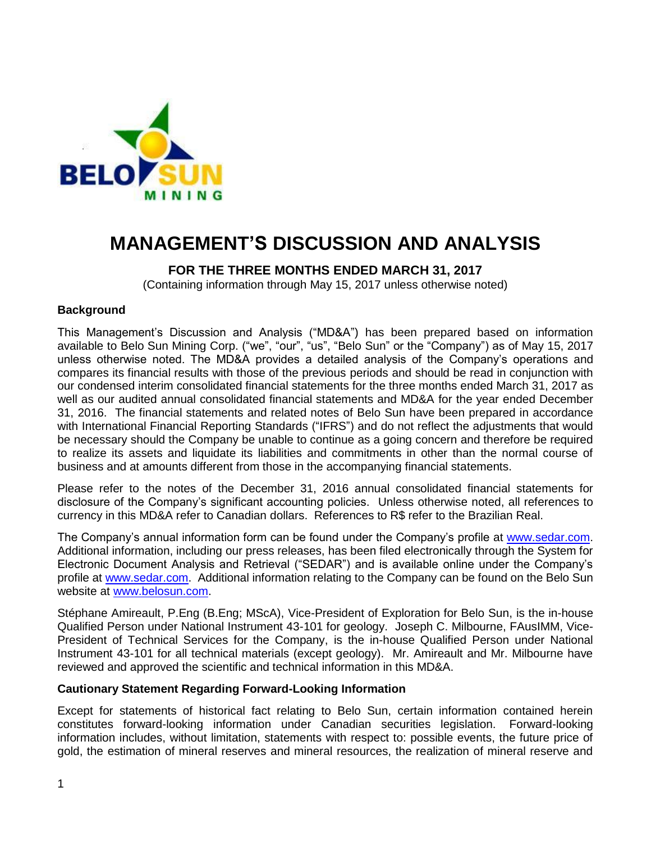

# **MANAGEMENT'S DISCUSSION AND ANALYSIS**

# **FOR THE THREE MONTHS ENDED MARCH 31, 2017**

(Containing information through May 15, 2017 unless otherwise noted)

## **Background**

This Management's Discussion and Analysis ("MD&A") has been prepared based on information available to Belo Sun Mining Corp. ("we", "our", "us", "Belo Sun" or the "Company") as of May 15, 2017 unless otherwise noted. The MD&A provides a detailed analysis of the Company's operations and compares its financial results with those of the previous periods and should be read in conjunction with our condensed interim consolidated financial statements for the three months ended March 31, 2017 as well as our audited annual consolidated financial statements and MD&A for the year ended December 31, 2016. The financial statements and related notes of Belo Sun have been prepared in accordance with International Financial Reporting Standards ("IFRS") and do not reflect the adjustments that would be necessary should the Company be unable to continue as a going concern and therefore be required to realize its assets and liquidate its liabilities and commitments in other than the normal course of business and at amounts different from those in the accompanying financial statements.

Please refer to the notes of the December 31, 2016 annual consolidated financial statements for disclosure of the Company's significant accounting policies. Unless otherwise noted, all references to currency in this MD&A refer to Canadian dollars. References to R\$ refer to the Brazilian Real.

The Company's annual information form can be found under the Company's profile at www.sedar.com. Additional information, including our press releases, has been filed electronically through the System for Electronic Document Analysis and Retrieval ("SEDAR") and is available online under the Company's profile at www.sedar.com. Additional information relating to the Company can be found on the Belo Sun website at www.belosun.com.

Stéphane Amireault, P.Eng (B.Eng; MScA), Vice-President of Exploration for Belo Sun, is the in-house Qualified Person under National Instrument 43-101 for geology. Joseph C. Milbourne, FAusIMM, Vice-President of Technical Services for the Company, is the in-house Qualified Person under National Instrument 43-101 for all technical materials (except geology). Mr. Amireault and Mr. Milbourne have reviewed and approved the scientific and technical information in this MD&A.

#### **Cautionary Statement Regarding Forward-Looking Information**

Except for statements of historical fact relating to Belo Sun, certain information contained herein constitutes forward-looking information under Canadian securities legislation. Forward-looking information includes, without limitation, statements with respect to: possible events, the future price of gold, the estimation of mineral reserves and mineral resources, the realization of mineral reserve and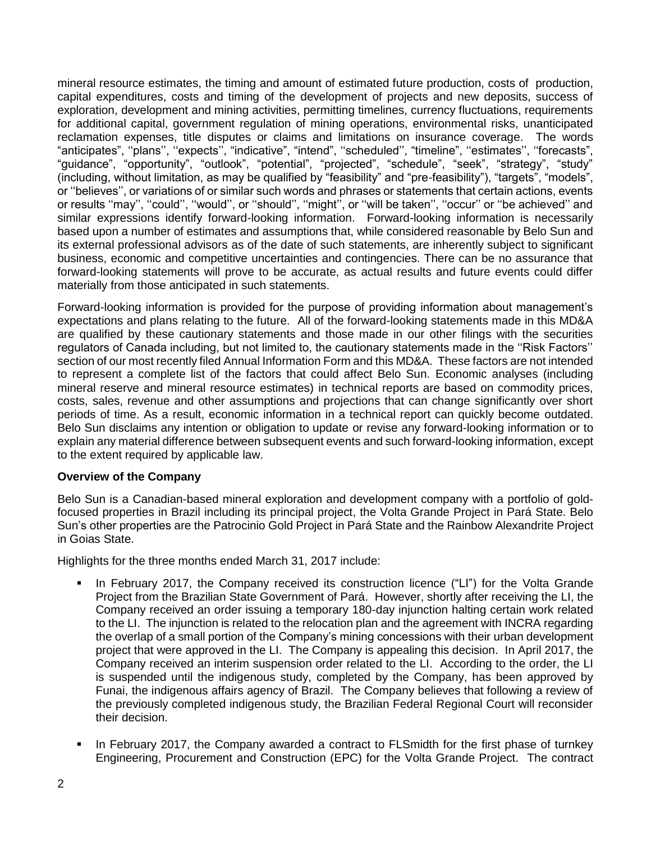mineral resource estimates, the timing and amount of estimated future production, costs of production, capital expenditures, costs and timing of the development of projects and new deposits, success of exploration, development and mining activities, permitting timelines, currency fluctuations, requirements for additional capital, government regulation of mining operations, environmental risks, unanticipated reclamation expenses, title disputes or claims and limitations on insurance coverage. The words "anticipates", ''plans'', ''expects'', "indicative", "intend", ''scheduled'', "timeline", ''estimates'', ''forecasts", "guidance", "opportunity", "outlook", "potential", "projected", "schedule", "seek", "strategy", "study" (including, without limitation, as may be qualified by "feasibility" and "pre-feasibility"), "targets", "models", or ''believes'', or variations of or similar such words and phrases or statements that certain actions, events or results ''may'', ''could'', ''would'', or ''should'', ''might'', or ''will be taken'', ''occur'' or ''be achieved'' and similar expressions identify forward-looking information. Forward-looking information is necessarily based upon a number of estimates and assumptions that, while considered reasonable by Belo Sun and its external professional advisors as of the date of such statements, are inherently subject to significant business, economic and competitive uncertainties and contingencies. There can be no assurance that forward-looking statements will prove to be accurate, as actual results and future events could differ materially from those anticipated in such statements.

Forward-looking information is provided for the purpose of providing information about management's expectations and plans relating to the future. All of the forward-looking statements made in this MD&A are qualified by these cautionary statements and those made in our other filings with the securities regulators of Canada including, but not limited to, the cautionary statements made in the ''Risk Factors'' section of our most recently filed Annual Information Form and this MD&A. These factors are not intended to represent a complete list of the factors that could affect Belo Sun. Economic analyses (including mineral reserve and mineral resource estimates) in technical reports are based on commodity prices, costs, sales, revenue and other assumptions and projections that can change significantly over short periods of time. As a result, economic information in a technical report can quickly become outdated. Belo Sun disclaims any intention or obligation to update or revise any forward-looking information or to explain any material difference between subsequent events and such forward-looking information, except to the extent required by applicable law.

# **Overview of the Company**

Belo Sun is a Canadian-based mineral exploration and development company with a portfolio of goldfocused properties in Brazil including its principal project, the Volta Grande Project in Pará State. Belo Sun's other properties are the Patrocinio Gold Project in Pará State and the Rainbow Alexandrite Project in Goias State.

Highlights for the three months ended March 31, 2017 include:

- In February 2017, the Company received its construction licence ("LI") for the Volta Grande Project from the Brazilian State Government of Pará. However, shortly after receiving the LI, the Company received an order issuing a temporary 180-day injunction halting certain work related to the LI. The injunction is related to the relocation plan and the agreement with INCRA regarding the overlap of a small portion of the Company's mining concessions with their urban development project that were approved in the LI. The Company is appealing this decision. In April 2017, the Company received an interim suspension order related to the LI. According to the order, the LI is suspended until the indigenous study, completed by the Company, has been approved by Funai, the indigenous affairs agency of Brazil. The Company believes that following a review of the previously completed indigenous study, the Brazilian Federal Regional Court will reconsider their decision.
- In February 2017, the Company awarded a contract to FLSmidth for the first phase of turnkey Engineering, Procurement and Construction (EPC) for the Volta Grande Project. The contract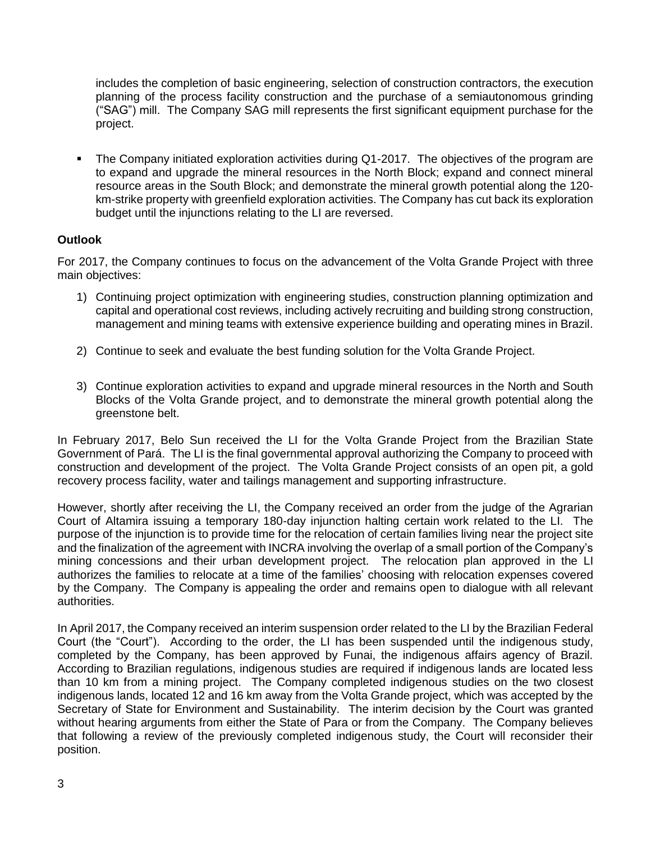includes the completion of basic engineering, selection of construction contractors, the execution planning of the process facility construction and the purchase of a semiautonomous grinding ("SAG") mill. The Company SAG mill represents the first significant equipment purchase for the project.

The Company initiated exploration activities during Q1-2017. The objectives of the program are to expand and upgrade the mineral resources in the North Block; expand and connect mineral resource areas in the South Block; and demonstrate the mineral growth potential along the 120 km-strike property with greenfield exploration activities. The Company has cut back its exploration budget until the injunctions relating to the LI are reversed.

# **Outlook**

For 2017, the Company continues to focus on the advancement of the Volta Grande Project with three main objectives:

- 1) Continuing project optimization with engineering studies, construction planning optimization and capital and operational cost reviews, including actively recruiting and building strong construction, management and mining teams with extensive experience building and operating mines in Brazil.
- 2) Continue to seek and evaluate the best funding solution for the Volta Grande Project.
- 3) Continue exploration activities to expand and upgrade mineral resources in the North and South Blocks of the Volta Grande project, and to demonstrate the mineral growth potential along the greenstone belt.

In February 2017, Belo Sun received the LI for the Volta Grande Project from the Brazilian State Government of Pará. The LI is the final governmental approval authorizing the Company to proceed with construction and development of the project. The Volta Grande Project consists of an open pit, a gold recovery process facility, water and tailings management and supporting infrastructure.

However, shortly after receiving the LI, the Company received an order from the judge of the Agrarian Court of Altamira issuing a temporary 180-day injunction halting certain work related to the LI. The purpose of the injunction is to provide time for the relocation of certain families living near the project site and the finalization of the agreement with INCRA involving the overlap of a small portion of the Company's mining concessions and their urban development project. The relocation plan approved in the LI authorizes the families to relocate at a time of the families' choosing with relocation expenses covered by the Company. The Company is appealing the order and remains open to dialogue with all relevant authorities.

In April 2017, the Company received an interim suspension order related to the LI by the Brazilian Federal Court (the "Court"). According to the order, the LI has been suspended until the indigenous study, completed by the Company, has been approved by Funai, the indigenous affairs agency of Brazil. According to Brazilian regulations, indigenous studies are required if indigenous lands are located less than 10 km from a mining project. The Company completed indigenous studies on the two closest indigenous lands, located 12 and 16 km away from the Volta Grande project, which was accepted by the Secretary of State for Environment and Sustainability. The interim decision by the Court was granted without hearing arguments from either the State of Para or from the Company. The Company believes that following a review of the previously completed indigenous study, the Court will reconsider their position.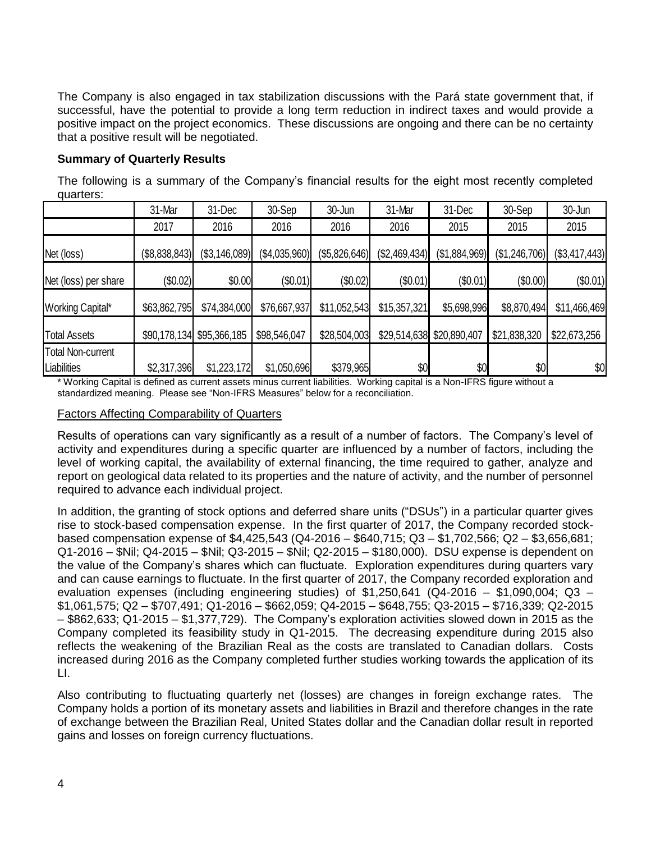The Company is also engaged in tax stabilization discussions with the Pará state government that, if successful, have the potential to provide a long term reduction in indirect taxes and would provide a positive impact on the project economics. These discussions are ongoing and there can be no certainty that a positive result will be negotiated.

## **Summary of Quarterly Results**

The following is a summary of the Company's financial results for the eight most recently completed quarters:

|                          | 31-Mar        | 31-Dec                    | 30-Sep        | 30-Jun        | 31-Mar        | 31-Dec                    | 30-Sep        | 30-Jun        |
|--------------------------|---------------|---------------------------|---------------|---------------|---------------|---------------------------|---------------|---------------|
|                          | 2017          | 2016                      | 2016          | 2016          | 2016          | 2015                      | 2015          | 2015          |
| Net (loss)               | (\$8,838,843) | (\$3,146,089)             | (\$4,035,960) | (\$5,826,646) | (\$2,469,434) | (\$1,884,969)             | (\$1,246,706) | (\$3,417,443) |
| Net (loss) per share     | (\$0.02)      | \$0.00                    | (\$0.01)      | (\$0.02)      | (\$0.01)      | $(\$0.01)$                | (\$0.00)      | (\$0.01)      |
| Working Capital*         | \$63,862,795  | \$74,384,000              | \$76,667,937  | \$11,052,543  | \$15,357,321  | \$5,698,996               | \$8,870,494   | \$11,466,469  |
| <b>Total Assets</b>      |               | \$90,178,134 \$95,366,185 | \$98,546,047  | \$28,504,003  |               | \$29,514,638 \$20,890,407 | \$21,838,320  | \$22,673,256  |
| <b>Total Non-current</b> |               |                           |               |               |               |                           |               |               |
| Liabilities              | \$2,317,396   | \$1,223,172               | \$1,050,696   | \$379,965     | \$0           | \$0                       | \$0           | \$0           |

\* Working Capital is defined as current assets minus current liabilities. Working capital is a Non-IFRS figure without a standardized meaning. Please see "Non-IFRS Measures" below for a reconciliation.

## Factors Affecting Comparability of Quarters

Results of operations can vary significantly as a result of a number of factors. The Company's level of activity and expenditures during a specific quarter are influenced by a number of factors, including the level of working capital, the availability of external financing, the time required to gather, analyze and report on geological data related to its properties and the nature of activity, and the number of personnel required to advance each individual project.

In addition, the granting of stock options and deferred share units ("DSUs") in a particular quarter gives rise to stock-based compensation expense. In the first quarter of 2017, the Company recorded stockbased compensation expense of \$4,425,543 (Q4-2016 – \$640,715; Q3 – \$1,702,566; Q2 – \$3,656,681; Q1-2016 – \$Nil; Q4-2015 – \$Nil; Q3-2015 – \$Nil; Q2-2015 – \$180,000). DSU expense is dependent on the value of the Company's shares which can fluctuate. Exploration expenditures during quarters vary and can cause earnings to fluctuate. In the first quarter of 2017, the Company recorded exploration and evaluation expenses (including engineering studies) of \$1,250,641 (Q4-2016 – \$1,090,004; Q3 – \$1,061,575; Q2 – \$707,491; Q1-2016 – \$662,059; Q4-2015 – \$648,755; Q3-2015 – \$716,339; Q2-2015 – \$862,633; Q1-2015 – \$1,377,729). The Company's exploration activities slowed down in 2015 as the Company completed its feasibility study in Q1-2015. The decreasing expenditure during 2015 also reflects the weakening of the Brazilian Real as the costs are translated to Canadian dollars. Costs increased during 2016 as the Company completed further studies working towards the application of its LI.

Also contributing to fluctuating quarterly net (losses) are changes in foreign exchange rates. The Company holds a portion of its monetary assets and liabilities in Brazil and therefore changes in the rate of exchange between the Brazilian Real, United States dollar and the Canadian dollar result in reported gains and losses on foreign currency fluctuations.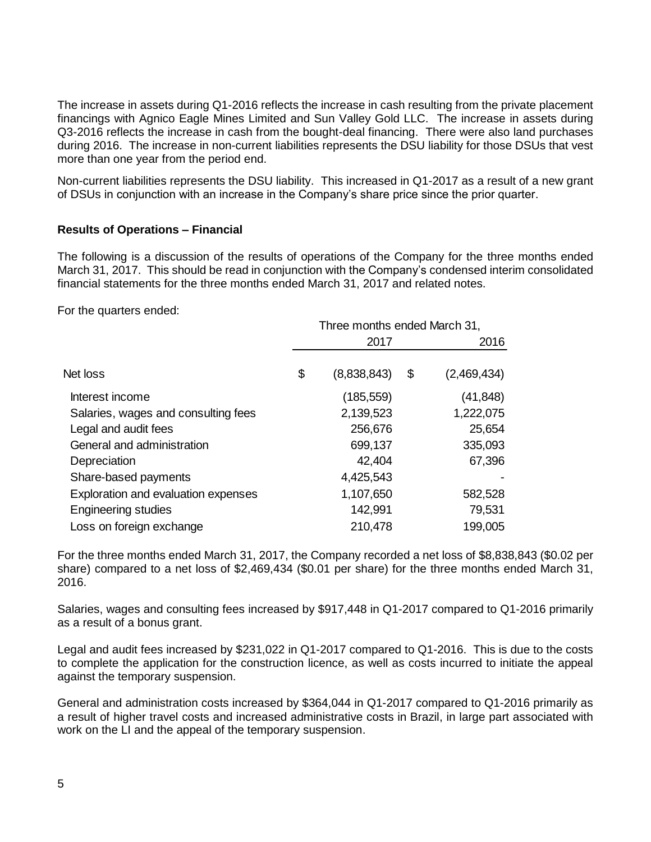The increase in assets during Q1-2016 reflects the increase in cash resulting from the private placement financings with Agnico Eagle Mines Limited and Sun Valley Gold LLC. The increase in assets during Q3-2016 reflects the increase in cash from the bought-deal financing. There were also land purchases during 2016. The increase in non-current liabilities represents the DSU liability for those DSUs that vest more than one year from the period end.

Non-current liabilities represents the DSU liability. This increased in Q1-2017 as a result of a new grant of DSUs in conjunction with an increase in the Company's share price since the prior quarter.

## **Results of Operations – Financial**

The following is a discussion of the results of operations of the Company for the three months ended March 31, 2017. This should be read in conjunction with the Company's condensed interim consolidated financial statements for the three months ended March 31, 2017 and related notes.

For the quarters ended:

|                                     | Three months ended March 31, |             |    |             |
|-------------------------------------|------------------------------|-------------|----|-------------|
|                                     |                              | 2017        |    | 2016        |
| Net loss                            | \$                           | (8,838,843) | \$ | (2,469,434) |
| Interest income                     |                              | (185, 559)  |    | (41, 848)   |
| Salaries, wages and consulting fees |                              | 2,139,523   |    | 1,222,075   |
| Legal and audit fees                |                              | 256,676     |    | 25,654      |
| General and administration          |                              | 699,137     |    | 335,093     |
| Depreciation                        |                              | 42,404      |    | 67,396      |
| Share-based payments                |                              | 4,425,543   |    |             |
| Exploration and evaluation expenses |                              | 1,107,650   |    | 582,528     |
| <b>Engineering studies</b>          |                              | 142,991     |    | 79,531      |
| Loss on foreign exchange            |                              | 210,478     |    | 199,005     |

For the three months ended March 31, 2017, the Company recorded a net loss of \$8,838,843 (\$0.02 per share) compared to a net loss of \$2,469,434 (\$0.01 per share) for the three months ended March 31, 2016.

Salaries, wages and consulting fees increased by \$917,448 in Q1-2017 compared to Q1-2016 primarily as a result of a bonus grant.

Legal and audit fees increased by \$231,022 in Q1-2017 compared to Q1-2016. This is due to the costs to complete the application for the construction licence, as well as costs incurred to initiate the appeal against the temporary suspension.

General and administration costs increased by \$364,044 in Q1-2017 compared to Q1-2016 primarily as a result of higher travel costs and increased administrative costs in Brazil, in large part associated with work on the LI and the appeal of the temporary suspension.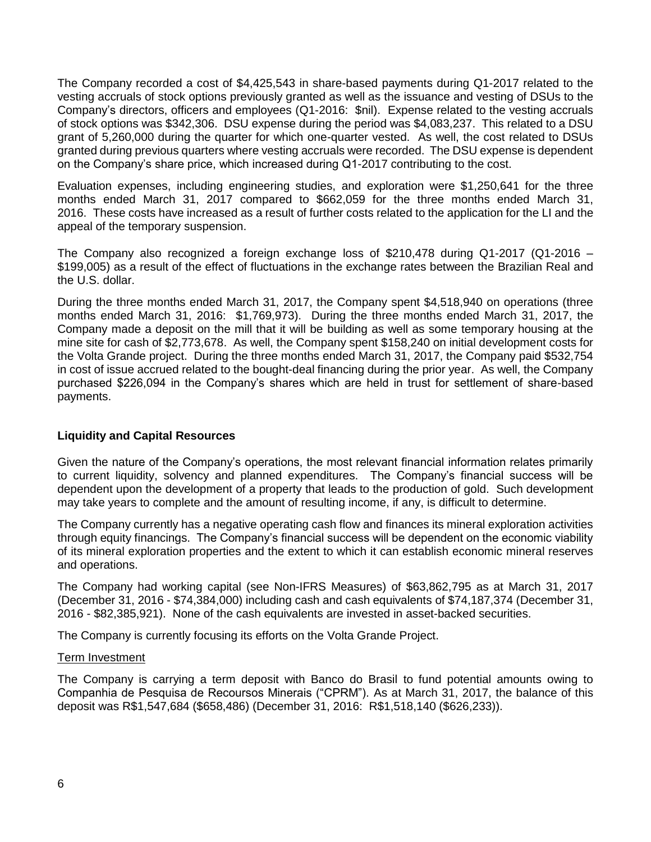The Company recorded a cost of \$4,425,543 in share-based payments during Q1-2017 related to the vesting accruals of stock options previously granted as well as the issuance and vesting of DSUs to the Company's directors, officers and employees (Q1-2016: \$nil). Expense related to the vesting accruals of stock options was \$342,306. DSU expense during the period was \$4,083,237. This related to a DSU grant of 5,260,000 during the quarter for which one-quarter vested. As well, the cost related to DSUs granted during previous quarters where vesting accruals were recorded. The DSU expense is dependent on the Company's share price, which increased during Q1-2017 contributing to the cost.

Evaluation expenses, including engineering studies, and exploration were \$1,250,641 for the three months ended March 31, 2017 compared to \$662,059 for the three months ended March 31, 2016. These costs have increased as a result of further costs related to the application for the LI and the appeal of the temporary suspension.

The Company also recognized a foreign exchange loss of \$210,478 during Q1-2017 (Q1-2016 – \$199,005) as a result of the effect of fluctuations in the exchange rates between the Brazilian Real and the U.S. dollar.

During the three months ended March 31, 2017, the Company spent \$4,518,940 on operations (three months ended March 31, 2016: \$1,769,973). During the three months ended March 31, 2017, the Company made a deposit on the mill that it will be building as well as some temporary housing at the mine site for cash of \$2,773,678. As well, the Company spent \$158,240 on initial development costs for the Volta Grande project. During the three months ended March 31, 2017, the Company paid \$532,754 in cost of issue accrued related to the bought-deal financing during the prior year. As well, the Company purchased \$226,094 in the Company's shares which are held in trust for settlement of share-based payments.

## **Liquidity and Capital Resources**

Given the nature of the Company's operations, the most relevant financial information relates primarily to current liquidity, solvency and planned expenditures. The Company's financial success will be dependent upon the development of a property that leads to the production of gold. Such development may take years to complete and the amount of resulting income, if any, is difficult to determine.

The Company currently has a negative operating cash flow and finances its mineral exploration activities through equity financings. The Company's financial success will be dependent on the economic viability of its mineral exploration properties and the extent to which it can establish economic mineral reserves and operations.

The Company had working capital (see Non-IFRS Measures) of \$63,862,795 as at March 31, 2017 (December 31, 2016 - \$74,384,000) including cash and cash equivalents of \$74,187,374 (December 31, 2016 - \$82,385,921). None of the cash equivalents are invested in asset-backed securities.

The Company is currently focusing its efforts on the Volta Grande Project.

#### Term Investment

The Company is carrying a term deposit with Banco do Brasil to fund potential amounts owing to Companhia de Pesquisa de Recoursos Minerais ("CPRM"). As at March 31, 2017, the balance of this deposit was R\$1,547,684 (\$658,486) (December 31, 2016: R\$1,518,140 (\$626,233)).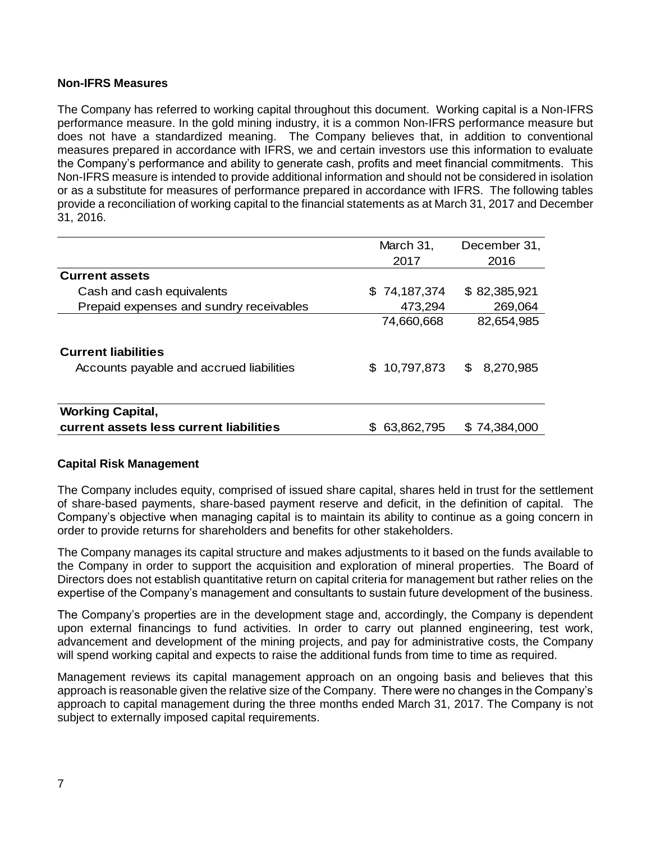## **Non-IFRS Measures**

The Company has referred to working capital throughout this document. Working capital is a Non-IFRS performance measure. In the gold mining industry, it is a common Non-IFRS performance measure but does not have a standardized meaning. The Company believes that, in addition to conventional measures prepared in accordance with IFRS, we and certain investors use this information to evaluate the Company's performance and ability to generate cash, profits and meet financial commitments. This Non-IFRS measure is intended to provide additional information and should not be considered in isolation or as a substitute for measures of performance prepared in accordance with IFRS. The following tables provide a reconciliation of working capital to the financial statements as at March 31, 2017 and December 31, 2016.

|                                          | March 31,    | December 31,   |
|------------------------------------------|--------------|----------------|
|                                          | 2017         | 2016           |
| <b>Current assets</b>                    |              |                |
| Cash and cash equivalents                | \$74,187,374 | \$82,385,921   |
| Prepaid expenses and sundry receivables  | 473,294      | 269,064        |
|                                          | 74,660,668   | 82,654,985     |
| <b>Current liabilities</b>               |              |                |
| Accounts payable and accrued liabilities | 10,797,873   | 8,270,985<br>S |
|                                          |              |                |
| <b>Working Capital,</b>                  |              |                |
| current assets less current liabilities  | 63,862,795   | \$74,384,000   |

## **Capital Risk Management**

The Company includes equity, comprised of issued share capital, shares held in trust for the settlement of share-based payments, share-based payment reserve and deficit, in the definition of capital. The Company's objective when managing capital is to maintain its ability to continue as a going concern in order to provide returns for shareholders and benefits for other stakeholders.

The Company manages its capital structure and makes adjustments to it based on the funds available to the Company in order to support the acquisition and exploration of mineral properties. The Board of Directors does not establish quantitative return on capital criteria for management but rather relies on the expertise of the Company's management and consultants to sustain future development of the business.

The Company's properties are in the development stage and, accordingly, the Company is dependent upon external financings to fund activities. In order to carry out planned engineering, test work, advancement and development of the mining projects, and pay for administrative costs, the Company will spend working capital and expects to raise the additional funds from time to time as required.

Management reviews its capital management approach on an ongoing basis and believes that this approach is reasonable given the relative size of the Company. There were no changes in the Company's approach to capital management during the three months ended March 31, 2017. The Company is not subject to externally imposed capital requirements.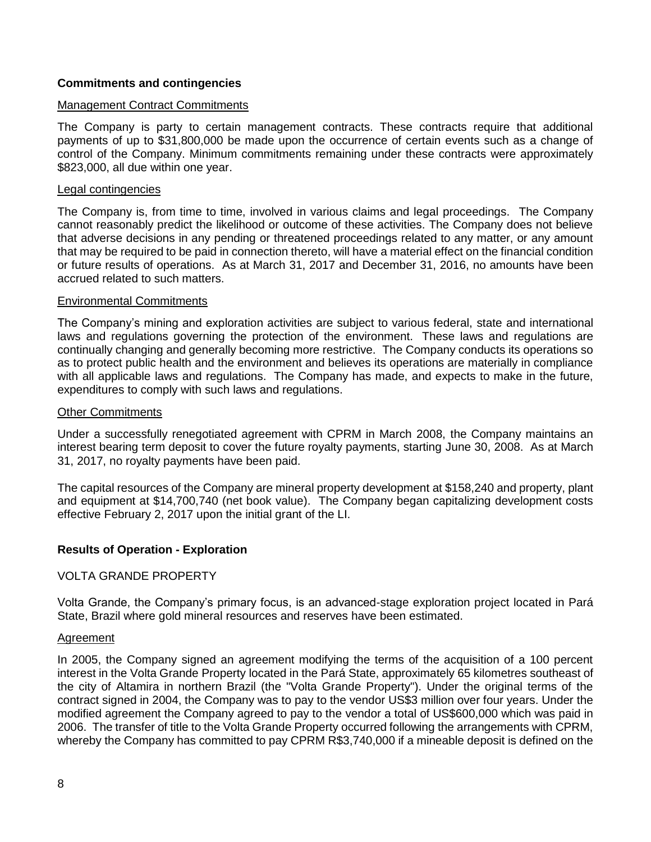## **Commitments and contingencies**

#### Management Contract Commitments

The Company is party to certain management contracts. These contracts require that additional payments of up to \$31,800,000 be made upon the occurrence of certain events such as a change of control of the Company. Minimum commitments remaining under these contracts were approximately \$823,000, all due within one year.

#### Legal contingencies

The Company is, from time to time, involved in various claims and legal proceedings. The Company cannot reasonably predict the likelihood or outcome of these activities. The Company does not believe that adverse decisions in any pending or threatened proceedings related to any matter, or any amount that may be required to be paid in connection thereto, will have a material effect on the financial condition or future results of operations. As at March 31, 2017 and December 31, 2016, no amounts have been accrued related to such matters.

#### Environmental Commitments

The Company's mining and exploration activities are subject to various federal, state and international laws and regulations governing the protection of the environment. These laws and regulations are continually changing and generally becoming more restrictive. The Company conducts its operations so as to protect public health and the environment and believes its operations are materially in compliance with all applicable laws and regulations. The Company has made, and expects to make in the future, expenditures to comply with such laws and regulations.

#### Other Commitments

Under a successfully renegotiated agreement with CPRM in March 2008, the Company maintains an interest bearing term deposit to cover the future royalty payments, starting June 30, 2008. As at March 31, 2017, no royalty payments have been paid.

The capital resources of the Company are mineral property development at \$158,240 and property, plant and equipment at \$14,700,740 (net book value). The Company began capitalizing development costs effective February 2, 2017 upon the initial grant of the LI.

#### **Results of Operation - Exploration**

#### VOLTA GRANDE PROPERTY

Volta Grande, the Company's primary focus, is an advanced-stage exploration project located in Pará State, Brazil where gold mineral resources and reserves have been estimated.

#### Agreement

In 2005, the Company signed an agreement modifying the terms of the acquisition of a 100 percent interest in the Volta Grande Property located in the Pará State, approximately 65 kilometres southeast of the city of Altamira in northern Brazil (the "Volta Grande Property"). Under the original terms of the contract signed in 2004, the Company was to pay to the vendor US\$3 million over four years. Under the modified agreement the Company agreed to pay to the vendor a total of US\$600,000 which was paid in 2006. The transfer of title to the Volta Grande Property occurred following the arrangements with CPRM, whereby the Company has committed to pay CPRM R\$3,740,000 if a mineable deposit is defined on the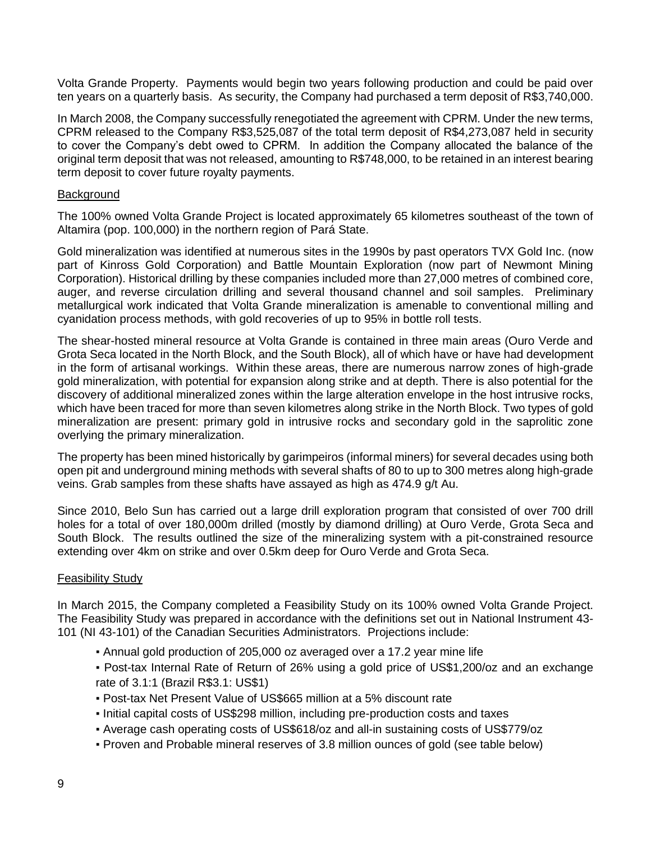Volta Grande Property. Payments would begin two years following production and could be paid over ten years on a quarterly basis. As security, the Company had purchased a term deposit of R\$3,740,000.

In March 2008, the Company successfully renegotiated the agreement with CPRM. Under the new terms, CPRM released to the Company R\$3,525,087 of the total term deposit of R\$4,273,087 held in security to cover the Company's debt owed to CPRM. In addition the Company allocated the balance of the original term deposit that was not released, amounting to R\$748,000, to be retained in an interest bearing term deposit to cover future royalty payments.

#### **Background**

The 100% owned Volta Grande Project is located approximately 65 kilometres southeast of the town of Altamira (pop. 100,000) in the northern region of Pará State.

Gold mineralization was identified at numerous sites in the 1990s by past operators TVX Gold Inc. (now part of Kinross Gold Corporation) and Battle Mountain Exploration (now part of Newmont Mining Corporation). Historical drilling by these companies included more than 27,000 metres of combined core, auger, and reverse circulation drilling and several thousand channel and soil samples. Preliminary metallurgical work indicated that Volta Grande mineralization is amenable to conventional milling and cyanidation process methods, with gold recoveries of up to 95% in bottle roll tests.

The shear-hosted mineral resource at Volta Grande is contained in three main areas (Ouro Verde and Grota Seca located in the North Block, and the South Block), all of which have or have had development in the form of artisanal workings. Within these areas, there are numerous narrow zones of high-grade gold mineralization, with potential for expansion along strike and at depth. There is also potential for the discovery of additional mineralized zones within the large alteration envelope in the host intrusive rocks, which have been traced for more than seven kilometres along strike in the North Block. Two types of gold mineralization are present: primary gold in intrusive rocks and secondary gold in the saprolitic zone overlying the primary mineralization.

The property has been mined historically by garimpeiros (informal miners) for several decades using both open pit and underground mining methods with several shafts of 80 to up to 300 metres along high-grade veins. Grab samples from these shafts have assayed as high as 474.9 g/t Au.

Since 2010, Belo Sun has carried out a large drill exploration program that consisted of over 700 drill holes for a total of over 180,000m drilled (mostly by diamond drilling) at Ouro Verde, Grota Seca and South Block. The results outlined the size of the mineralizing system with a pit-constrained resource extending over 4km on strike and over 0.5km deep for Ouro Verde and Grota Seca.

## **Feasibility Study**

In March 2015, the Company completed a Feasibility Study on its 100% owned Volta Grande Project. The Feasibility Study was prepared in accordance with the definitions set out in National Instrument 43- 101 (NI 43-101) of the Canadian Securities Administrators. Projections include:

- Annual gold production of 205,000 oz averaged over a 17.2 year mine life
- Post-tax Internal Rate of Return of 26% using a gold price of US\$1,200/oz and an exchange rate of 3.1:1 (Brazil R\$3.1: US\$1)
- Post-tax Net Present Value of US\$665 million at a 5% discount rate
- Initial capital costs of US\$298 million, including pre-production costs and taxes
- Average cash operating costs of US\$618/oz and all-in sustaining costs of US\$779/oz
- Proven and Probable mineral reserves of 3.8 million ounces of gold (see table below)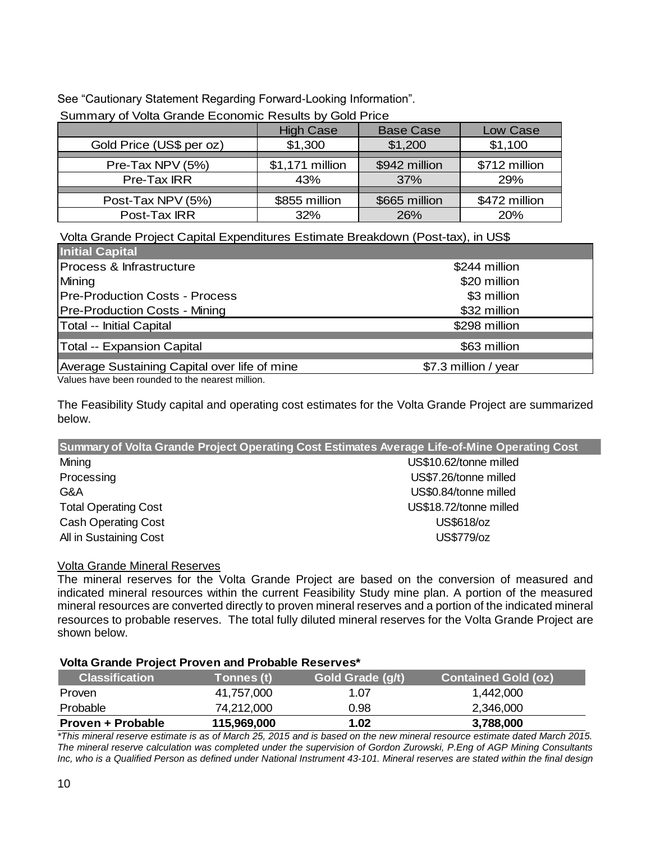See "Cautionary Statement Regarding Forward-Looking Information".

|                          | <b>High Case</b> | <b>Base Case</b> | Low Case      |  |  |
|--------------------------|------------------|------------------|---------------|--|--|
| Gold Price (US\$ per oz) | \$1,300          | \$1,200          | \$1,100       |  |  |
|                          |                  |                  |               |  |  |
| Pre-Tax NPV (5%)         | \$1,171 million  | \$942 million    | \$712 million |  |  |
| Pre-Tax IRR              | 43%              | 37%              | 29%           |  |  |
|                          |                  |                  |               |  |  |
| Post-Tax NPV (5%)        | \$855 million    | \$665 million    | \$472 million |  |  |
| Post-Tax IRR             | 32%              | 26%              | 20%           |  |  |

Summary of Volta Grande Economic Results by Gold Price

Volta Grande Project Capital Expenditures Estimate Breakdown (Post-tax), in US\$

| <b>Initial Capital</b>                       |                      |
|----------------------------------------------|----------------------|
| Process & Infrastructure                     | \$244 million        |
| Mining                                       | \$20 million         |
| <b>Pre-Production Costs - Process</b>        | \$3 million          |
| <b>Pre-Production Costs - Mining</b>         | \$32 million         |
| Total -- Initial Capital                     | \$298 million        |
| <b>Total -- Expansion Capital</b>            | \$63 million         |
| Average Sustaining Capital over life of mine | \$7.3 million / year |

Values have been rounded to the nearest million.

The Feasibility Study capital and operating cost estimates for the Volta Grande Project are summarized below.

| Summary of Volta Grande Project Operating Cost Estimates Average Life-of-Mine Operating Cost |                        |  |  |  |  |
|----------------------------------------------------------------------------------------------|------------------------|--|--|--|--|
| Mining                                                                                       | US\$10.62/tonne milled |  |  |  |  |
| Processing                                                                                   | US\$7.26/tonne milled  |  |  |  |  |
| G&A                                                                                          | US\$0.84/tonne milled  |  |  |  |  |
| <b>Total Operating Cost</b>                                                                  | US\$18.72/tonne milled |  |  |  |  |
| <b>Cash Operating Cost</b>                                                                   | US\$618/oz             |  |  |  |  |
| All in Sustaining Cost                                                                       | US\$779/oz             |  |  |  |  |

## Volta Grande Mineral Reserves

The mineral reserves for the Volta Grande Project are based on the conversion of measured and indicated mineral resources within the current Feasibility Study mine plan. A portion of the measured mineral resources are converted directly to proven mineral reserves and a portion of the indicated mineral resources to probable reserves. The total fully diluted mineral reserves for the Volta Grande Project are shown below.

## **Volta Grande Project Proven and Probable Reserves\***

| <b>Classification</b> | <b>Tonnes (t)</b> | Gold Grade (g/t) | <b>Contained Gold (oz)</b> |
|-----------------------|-------------------|------------------|----------------------------|
| <b>Proven</b>         | 41,757,000        | 1.07             | 1,442,000                  |
| Probable              | 74.212.000        | 0.98             | 2,346,000                  |
| Proven + Probable     | 115,969,000       | 1.02             | 3,788,000                  |

*\*This mineral reserve estimate is as of March 25, 2015 and is based on the new mineral resource estimate dated March 2015. The mineral reserve calculation was completed under the supervision of Gordon Zurowski, P.Eng of AGP Mining Consultants Inc, who is a Qualified Person as defined under National Instrument 43-101. Mineral reserves are stated within the final design*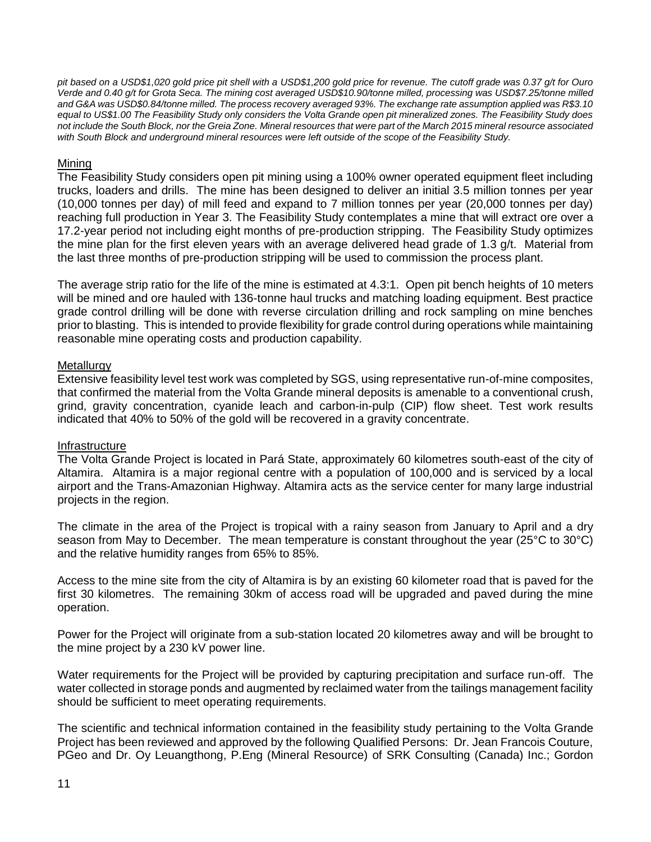*pit based on a USD\$1,020 gold price pit shell with a USD\$1,200 gold price for revenue. The cutoff grade was 0.37 g/t for Ouro Verde and 0.40 g/t for Grota Seca. The mining cost averaged USD\$10.90/tonne milled, processing was USD\$7.25/tonne milled and G&A was USD\$0.84/tonne milled. The process recovery averaged 93%. The exchange rate assumption applied was R\$3.10 equal to US\$1.00 The Feasibility Study only considers the Volta Grande open pit mineralized zones. The Feasibility Study does not include the South Block, nor the Greia Zone. Mineral resources that were part of the March 2015 mineral resource associated*  with South Block and underground mineral resources were left outside of the scope of the Feasibility Study.

## **Mining**

The Feasibility Study considers open pit mining using a 100% owner operated equipment fleet including trucks, loaders and drills. The mine has been designed to deliver an initial 3.5 million tonnes per year (10,000 tonnes per day) of mill feed and expand to 7 million tonnes per year (20,000 tonnes per day) reaching full production in Year 3. The Feasibility Study contemplates a mine that will extract ore over a 17.2-year period not including eight months of pre-production stripping. The Feasibility Study optimizes the mine plan for the first eleven years with an average delivered head grade of 1.3 g/t. Material from the last three months of pre-production stripping will be used to commission the process plant.

The average strip ratio for the life of the mine is estimated at 4.3:1. Open pit bench heights of 10 meters will be mined and ore hauled with 136-tonne haul trucks and matching loading equipment. Best practice grade control drilling will be done with reverse circulation drilling and rock sampling on mine benches prior to blasting. This is intended to provide flexibility for grade control during operations while maintaining reasonable mine operating costs and production capability.

## **Metallurgy**

Extensive feasibility level test work was completed by SGS, using representative run-of-mine composites, that confirmed the material from the Volta Grande mineral deposits is amenable to a conventional crush, grind, gravity concentration, cyanide leach and carbon-in-pulp (CIP) flow sheet. Test work results indicated that 40% to 50% of the gold will be recovered in a gravity concentrate.

#### Infrastructure

The Volta Grande Project is located in Pará State, approximately 60 kilometres south-east of the city of Altamira. Altamira is a major regional centre with a population of 100,000 and is serviced by a local airport and the Trans-Amazonian Highway. Altamira acts as the service center for many large industrial projects in the region.

The climate in the area of the Project is tropical with a rainy season from January to April and a dry season from May to December. The mean temperature is constant throughout the year (25°C to 30°C) and the relative humidity ranges from 65% to 85%.

Access to the mine site from the city of Altamira is by an existing 60 kilometer road that is paved for the first 30 kilometres. The remaining 30km of access road will be upgraded and paved during the mine operation.

Power for the Project will originate from a sub-station located 20 kilometres away and will be brought to the mine project by a 230 kV power line.

Water requirements for the Project will be provided by capturing precipitation and surface run-off. The water collected in storage ponds and augmented by reclaimed water from the tailings management facility should be sufficient to meet operating requirements.

The scientific and technical information contained in the feasibility study pertaining to the Volta Grande Project has been reviewed and approved by the following Qualified Persons: Dr. Jean Francois Couture, PGeo and Dr. Oy Leuangthong, P.Eng (Mineral Resource) of SRK Consulting (Canada) Inc.; Gordon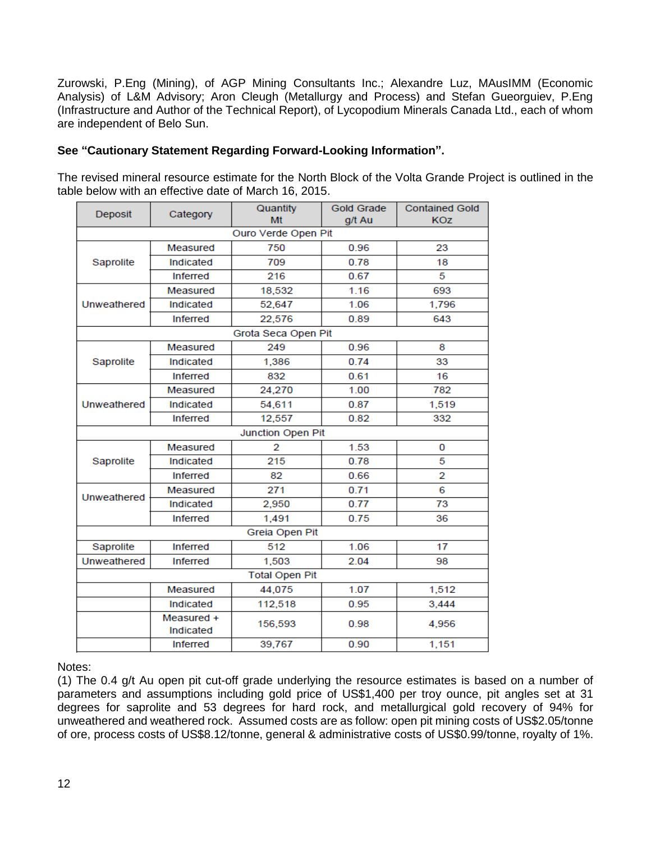Zurowski, P.Eng (Mining), of AGP Mining Consultants Inc.; Alexandre Luz, MAusIMM (Economic Analysis) of L&M Advisory; Aron Cleugh (Metallurgy and Process) and Stefan Gueorguiev, P.Eng (Infrastructure and Author of the Technical Report), of Lycopodium Minerals Canada Ltd., each of whom are independent of Belo Sun.

# **See "Cautionary Statement Regarding Forward-Looking Information".**

The revised mineral resource estimate for the North Block of the Volta Grande Project is outlined in the table below with an effective date of March 16, 2015.

| Deposit     | Category                | Quantity<br>Mt        | <b>Gold Grade</b><br>g/t Au | <b>Contained Gold</b><br><b>KOZ</b> |
|-------------|-------------------------|-----------------------|-----------------------------|-------------------------------------|
|             |                         | Ouro Verde Open Pit   |                             |                                     |
|             | Measured                | 750                   | 0.96                        | 23                                  |
| Saprolite   | Indicated               | 709                   | 0.78                        | 18                                  |
|             | <b>Inferred</b>         | 216                   | 0.67                        | 5                                   |
|             | Measured                | 18,532                | 1.16                        | 693                                 |
| Unweathered | Indicated               | 52,647                | 1.06                        | 1,796                               |
|             | <b>Inferred</b>         | 22,576                | 0.89                        | 643                                 |
|             |                         | Grota Seca Open Pit   |                             |                                     |
|             | Measured                | 249                   | 0.96                        | 8                                   |
| Saprolite   | Indicated               | 1,386                 | 0.74                        | 33                                  |
|             | <b>Inferred</b>         | 832                   | 0.61                        | 16                                  |
|             | Measured                | 24,270                | 1.00                        | 782                                 |
| Unweathered | Indicated               | 54.611                | 0.87                        | 1,519                               |
|             | <b>Inferred</b>         | 12,557                | 0.82                        | 332                                 |
|             |                         | Junction Open Pit     |                             |                                     |
|             | Measured                | 2                     | 1.53                        | 0                                   |
| Saprolite   | Indicated               | 215                   | 0.78                        | 5                                   |
|             | <b>Inferred</b>         | 82                    | 0.66                        | 2                                   |
| Unweathered | Measured                | 271                   | 0.71                        | 6                                   |
|             | Indicated               | 2,950                 | 0.77                        | 73                                  |
|             | <b>Inferred</b>         | 1,491                 | 0.75                        | 36                                  |
|             |                         | Greia Open Pit        |                             |                                     |
| Saprolite   | <b>Inferred</b>         | 512                   | 1.06                        | 17                                  |
| Unweathered | <b>Inferred</b>         | 1,503                 | 2.04                        | 98                                  |
|             |                         | <b>Total Open Pit</b> |                             |                                     |
|             | Measured                | 44,075                | 1.07                        | 1,512                               |
|             | Indicated               | 112,518               | 0.95                        | 3,444                               |
|             | Measured +<br>Indicated | 156,593               | 0.98                        | 4,956                               |
|             | <b>Inferred</b>         | 39,767                | 0.90                        | 1,151                               |

Notes:

(1) The 0.4 g/t Au open pit cut-off grade underlying the resource estimates is based on a number of parameters and assumptions including gold price of US\$1,400 per troy ounce, pit angles set at 31 degrees for saprolite and 53 degrees for hard rock, and metallurgical gold recovery of 94% for unweathered and weathered rock. Assumed costs are as follow: open pit mining costs of US\$2.05/tonne of ore, process costs of US\$8.12/tonne, general & administrative costs of US\$0.99/tonne, royalty of 1%.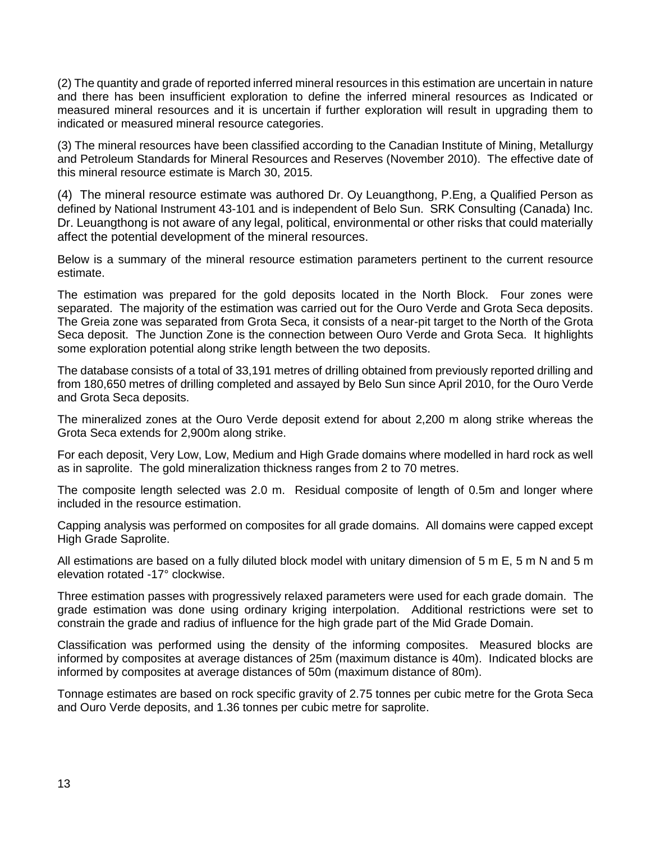(2) The quantity and grade of reported inferred mineral resources in this estimation are uncertain in nature and there has been insufficient exploration to define the inferred mineral resources as Indicated or measured mineral resources and it is uncertain if further exploration will result in upgrading them to indicated or measured mineral resource categories.

(3) The mineral resources have been classified according to the Canadian Institute of Mining, Metallurgy and Petroleum Standards for Mineral Resources and Reserves (November 2010). The effective date of this mineral resource estimate is March 30, 2015.

(4) The mineral resource estimate was authored Dr. Oy Leuangthong, P.Eng, a Qualified Person as defined by National Instrument 43-101 and is independent of Belo Sun. SRK Consulting (Canada) Inc. Dr. Leuangthong is not aware of any legal, political, environmental or other risks that could materially affect the potential development of the mineral resources.

Below is a summary of the mineral resource estimation parameters pertinent to the current resource estimate.

The estimation was prepared for the gold deposits located in the North Block. Four zones were separated. The majority of the estimation was carried out for the Ouro Verde and Grota Seca deposits. The Greia zone was separated from Grota Seca, it consists of a near-pit target to the North of the Grota Seca deposit. The Junction Zone is the connection between Ouro Verde and Grota Seca. It highlights some exploration potential along strike length between the two deposits.

The database consists of a total of 33,191 metres of drilling obtained from previously reported drilling and from 180,650 metres of drilling completed and assayed by Belo Sun since April 2010, for the Ouro Verde and Grota Seca deposits.

The mineralized zones at the Ouro Verde deposit extend for about 2,200 m along strike whereas the Grota Seca extends for 2,900m along strike.

For each deposit, Very Low, Low, Medium and High Grade domains where modelled in hard rock as well as in saprolite. The gold mineralization thickness ranges from 2 to 70 metres.

The composite length selected was 2.0 m. Residual composite of length of 0.5m and longer where included in the resource estimation.

Capping analysis was performed on composites for all grade domains. All domains were capped except High Grade Saprolite.

All estimations are based on a fully diluted block model with unitary dimension of 5 m E, 5 m N and 5 m elevation rotated -17° clockwise.

Three estimation passes with progressively relaxed parameters were used for each grade domain. The grade estimation was done using ordinary kriging interpolation. Additional restrictions were set to constrain the grade and radius of influence for the high grade part of the Mid Grade Domain.

Classification was performed using the density of the informing composites. Measured blocks are informed by composites at average distances of 25m (maximum distance is 40m). Indicated blocks are informed by composites at average distances of 50m (maximum distance of 80m).

Tonnage estimates are based on rock specific gravity of 2.75 tonnes per cubic metre for the Grota Seca and Ouro Verde deposits, and 1.36 tonnes per cubic metre for saprolite.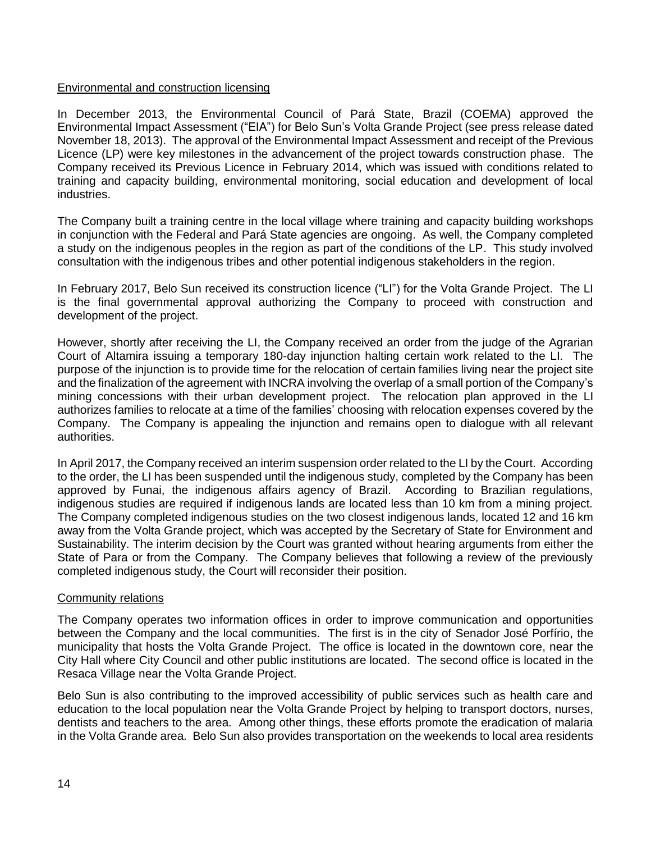## Environmental and construction licensing

In December 2013, the Environmental Council of Pará State, Brazil (COEMA) approved the Environmental Impact Assessment ("EIA") for Belo Sun's Volta Grande Project (see press release dated November 18, 2013). The approval of the Environmental Impact Assessment and receipt of the Previous Licence (LP) were key milestones in the advancement of the project towards construction phase. The Company received its Previous Licence in February 2014, which was issued with conditions related to training and capacity building, environmental monitoring, social education and development of local industries.

The Company built a training centre in the local village where training and capacity building workshops in conjunction with the Federal and Pará State agencies are ongoing. As well, the Company completed a study on the indigenous peoples in the region as part of the conditions of the LP. This study involved consultation with the indigenous tribes and other potential indigenous stakeholders in the region.

In February 2017, Belo Sun received its construction licence ("LI") for the Volta Grande Project. The LI is the final governmental approval authorizing the Company to proceed with construction and development of the project.

However, shortly after receiving the LI, the Company received an order from the judge of the Agrarian Court of Altamira issuing a temporary 180-day injunction halting certain work related to the LI. The purpose of the injunction is to provide time for the relocation of certain families living near the project site and the finalization of the agreement with INCRA involving the overlap of a small portion of the Company's mining concessions with their urban development project. The relocation plan approved in the LI authorizes families to relocate at a time of the families' choosing with relocation expenses covered by the Company. The Company is appealing the injunction and remains open to dialogue with all relevant authorities.

In April 2017, the Company received an interim suspension order related to the LI by the Court. According to the order, the LI has been suspended until the indigenous study, completed by the Company has been approved by Funai, the indigenous affairs agency of Brazil. According to Brazilian regulations, indigenous studies are required if indigenous lands are located less than 10 km from a mining project. The Company completed indigenous studies on the two closest indigenous lands, located 12 and 16 km away from the Volta Grande project, which was accepted by the Secretary of State for Environment and Sustainability. The interim decision by the Court was granted without hearing arguments from either the State of Para or from the Company. The Company believes that following a review of the previously completed indigenous study, the Court will reconsider their position.

#### Community relations

The Company operates two information offices in order to improve communication and opportunities between the Company and the local communities. The first is in the city of Senador José Porfírio, the municipality that hosts the Volta Grande Project. The office is located in the downtown core, near the City Hall where City Council and other public institutions are located. The second office is located in the Resaca Village near the Volta Grande Project.

Belo Sun is also contributing to the improved accessibility of public services such as health care and education to the local population near the Volta Grande Project by helping to transport doctors, nurses, dentists and teachers to the area. Among other things, these efforts promote the eradication of malaria in the Volta Grande area. Belo Sun also provides transportation on the weekends to local area residents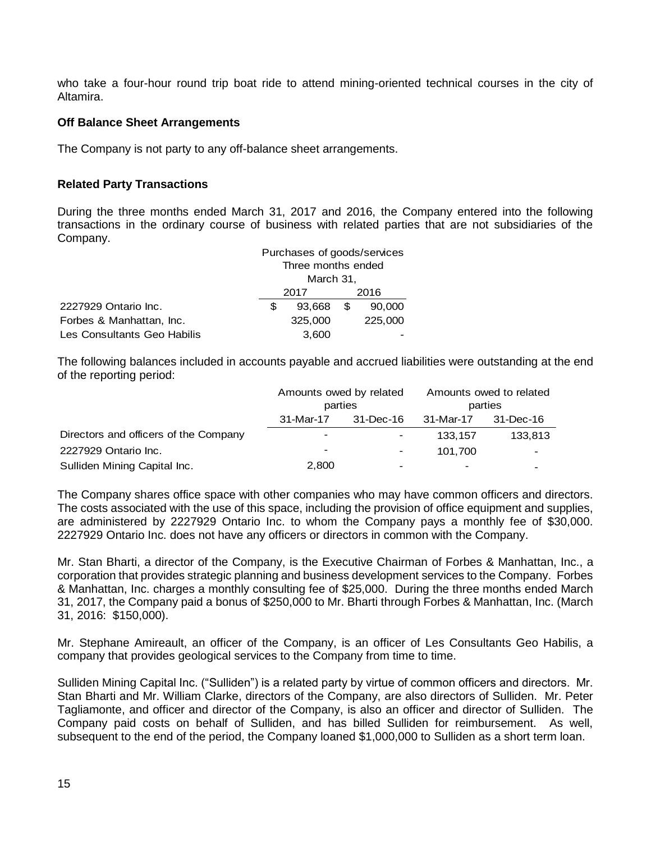who take a four-hour round trip boat ride to attend mining-oriented technical courses in the city of Altamira.

## **Off Balance Sheet Arrangements**

The Company is not party to any off-balance sheet arrangements.

#### **Related Party Transactions**

During the three months ended March 31, 2017 and 2016, the Company entered into the following transactions in the ordinary course of business with related parties that are not subsidiaries of the Company.

|                             |      | Purchases of goods/services |      |         |
|-----------------------------|------|-----------------------------|------|---------|
|                             |      | Three months ended          |      |         |
|                             |      | March 31,                   |      |         |
|                             | 2017 |                             | 2016 |         |
| 2227929 Ontario Inc.        | S    | 93.668                      | \$   | 90,000  |
| Forbes & Manhattan, Inc.    |      | 325,000                     |      | 225,000 |
| Les Consultants Geo Habilis |      | 3,600                       |      |         |

The following balances included in accounts payable and accrued liabilities were outstanding at the end of the reporting period:

|                                       | Amounts owed by related<br>parties |                                                                                                                                                   | Amounts owed to related<br>parties |           |
|---------------------------------------|------------------------------------|---------------------------------------------------------------------------------------------------------------------------------------------------|------------------------------------|-----------|
|                                       |                                    |                                                                                                                                                   |                                    |           |
|                                       | 31-Mar-17                          | 31-Dec-16                                                                                                                                         | 31-Mar-17                          | 31-Dec-16 |
| Directors and officers of the Company |                                    |                                                                                                                                                   | 133.157                            | 133,813   |
| 2227929 Ontario Inc.                  | $\overline{\phantom{0}}$           | $\hskip1.6pt\hskip1.6pt\hskip1.6pt\hskip1.6pt\hskip1.6pt\hskip1.6pt\hskip1.6pt\hskip1.6pt\hskip1.6pt\hskip1.6pt\hskip1.6pt\hskip1.6pt\hskip1.6pt$ | 101.700                            |           |
| Sulliden Mining Capital Inc.          | 2,800                              | $\overline{\phantom{a}}$                                                                                                                          | $\,$                               |           |

The Company shares office space with other companies who may have common officers and directors. The costs associated with the use of this space, including the provision of office equipment and supplies, are administered by 2227929 Ontario Inc. to whom the Company pays a monthly fee of \$30,000. 2227929 Ontario Inc. does not have any officers or directors in common with the Company.

Mr. Stan Bharti, a director of the Company, is the Executive Chairman of Forbes & Manhattan, Inc., a corporation that provides strategic planning and business development services to the Company. Forbes & Manhattan, Inc. charges a monthly consulting fee of \$25,000. During the three months ended March 31, 2017, the Company paid a bonus of \$250,000 to Mr. Bharti through Forbes & Manhattan, Inc. (March 31, 2016: \$150,000).

Mr. Stephane Amireault, an officer of the Company, is an officer of Les Consultants Geo Habilis, a company that provides geological services to the Company from time to time.

Sulliden Mining Capital Inc. ("Sulliden") is a related party by virtue of common officers and directors. Mr. Stan Bharti and Mr. William Clarke, directors of the Company, are also directors of Sulliden. Mr. Peter Tagliamonte, and officer and director of the Company, is also an officer and director of Sulliden. The Company paid costs on behalf of Sulliden, and has billed Sulliden for reimbursement. As well, subsequent to the end of the period, the Company loaned \$1,000,000 to Sulliden as a short term loan.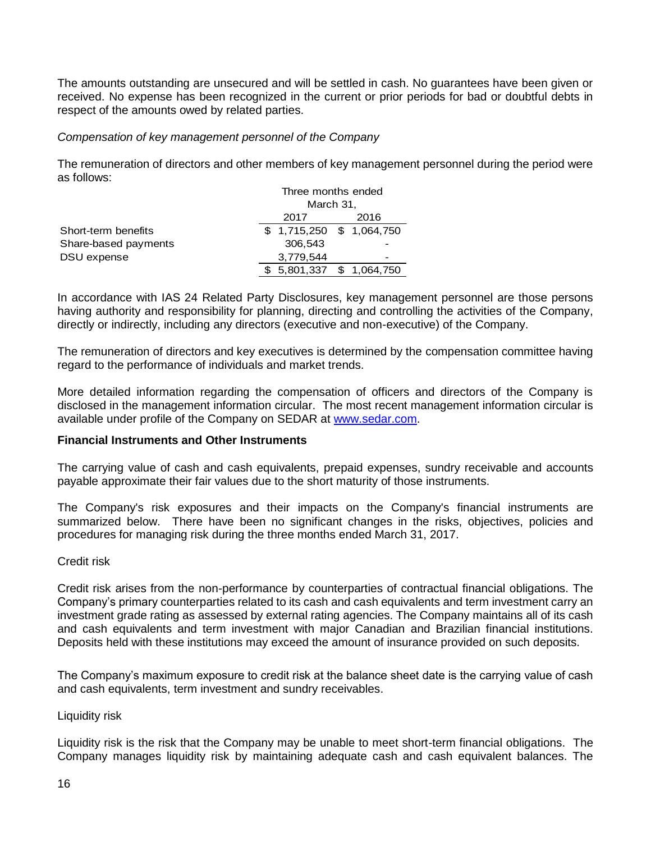The amounts outstanding are unsecured and will be settled in cash. No guarantees have been given or received. No expense has been recognized in the current or prior periods for bad or doubtful debts in respect of the amounts owed by related parties.

## *Compensation of key management personnel of the Company*

The remuneration of directors and other members of key management personnel during the period were as follows:

|                      |                           | Three months ended |  |  |
|----------------------|---------------------------|--------------------|--|--|
|                      | March 31,                 |                    |  |  |
|                      | 2017                      | 2016               |  |  |
| Short-term benefits  | $$1,715,250$ $$1,064,750$ |                    |  |  |
| Share-based payments | 306.543                   |                    |  |  |
| DSU expense          | 3,779,544                 |                    |  |  |
|                      | \$ 5,801,337              | \$1,064,750        |  |  |

In accordance with IAS 24 Related Party Disclosures, key management personnel are those persons having authority and responsibility for planning, directing and controlling the activities of the Company, directly or indirectly, including any directors (executive and non-executive) of the Company.

The remuneration of directors and key executives is determined by the compensation committee having regard to the performance of individuals and market trends.

More detailed information regarding the compensation of officers and directors of the Company is disclosed in the management information circular. The most recent management information circular is available under profile of the Company on SEDAR at www.sedar.com.

#### **Financial Instruments and Other Instruments**

The carrying value of cash and cash equivalents, prepaid expenses, sundry receivable and accounts payable approximate their fair values due to the short maturity of those instruments.

The Company's risk exposures and their impacts on the Company's financial instruments are summarized below. There have been no significant changes in the risks, objectives, policies and procedures for managing risk during the three months ended March 31, 2017.

#### Credit risk

Credit risk arises from the non-performance by counterparties of contractual financial obligations. The Company's primary counterparties related to its cash and cash equivalents and term investment carry an investment grade rating as assessed by external rating agencies. The Company maintains all of its cash and cash equivalents and term investment with major Canadian and Brazilian financial institutions. Deposits held with these institutions may exceed the amount of insurance provided on such deposits.

The Company's maximum exposure to credit risk at the balance sheet date is the carrying value of cash and cash equivalents, term investment and sundry receivables.

## Liquidity risk

Liquidity risk is the risk that the Company may be unable to meet short-term financial obligations. The Company manages liquidity risk by maintaining adequate cash and cash equivalent balances. The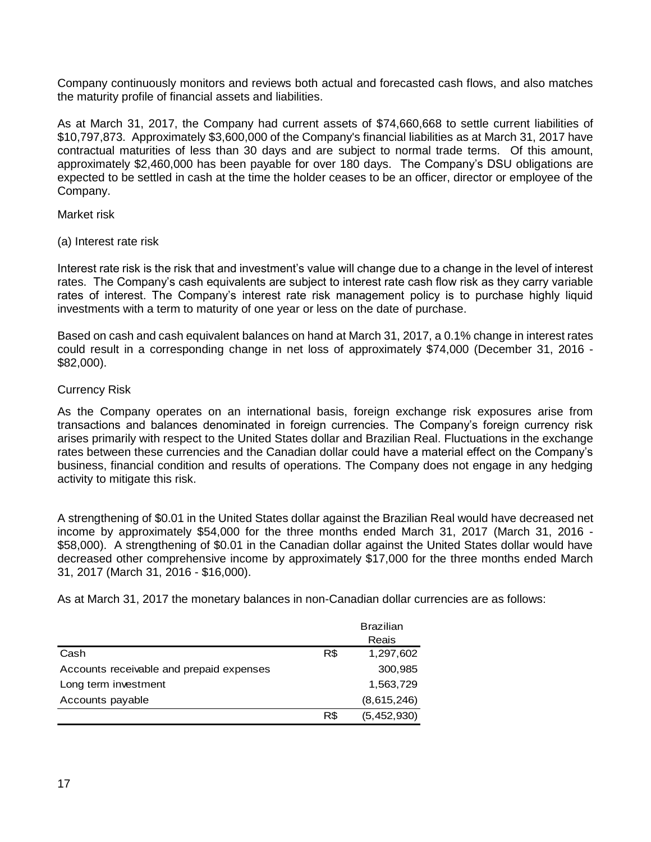Company continuously monitors and reviews both actual and forecasted cash flows, and also matches the maturity profile of financial assets and liabilities.

As at March 31, 2017, the Company had current assets of \$74,660,668 to settle current liabilities of \$10,797,873. Approximately \$3,600,000 of the Company's financial liabilities as at March 31, 2017 have contractual maturities of less than 30 days and are subject to normal trade terms. Of this amount, approximately \$2,460,000 has been payable for over 180 days. The Company's DSU obligations are expected to be settled in cash at the time the holder ceases to be an officer, director or employee of the Company.

Market risk

(a) Interest rate risk

Interest rate risk is the risk that and investment's value will change due to a change in the level of interest rates. The Company's cash equivalents are subject to interest rate cash flow risk as they carry variable rates of interest. The Company's interest rate risk management policy is to purchase highly liquid investments with a term to maturity of one year or less on the date of purchase.

Based on cash and cash equivalent balances on hand at March 31, 2017, a 0.1% change in interest rates could result in a corresponding change in net loss of approximately \$74,000 (December 31, 2016 - \$82,000).

## Currency Risk

As the Company operates on an international basis, foreign exchange risk exposures arise from transactions and balances denominated in foreign currencies. The Company's foreign currency risk arises primarily with respect to the United States dollar and Brazilian Real. Fluctuations in the exchange rates between these currencies and the Canadian dollar could have a material effect on the Company's business, financial condition and results of operations. The Company does not engage in any hedging activity to mitigate this risk.

A strengthening of \$0.01 in the United States dollar against the Brazilian Real would have decreased net income by approximately \$54,000 for the three months ended March 31, 2017 (March 31, 2016 - \$58,000). A strengthening of \$0.01 in the Canadian dollar against the United States dollar would have decreased other comprehensive income by approximately \$17,000 for the three months ended March 31, 2017 (March 31, 2016 - \$16,000).

As at March 31, 2017 the monetary balances in non-Canadian dollar currencies are as follows:

|                                          |     | <b>Brazilian</b> |
|------------------------------------------|-----|------------------|
|                                          |     | Reais            |
| Cash                                     | R\$ | 1,297,602        |
| Accounts receivable and prepaid expenses |     | 300,985          |
| Long term investment                     |     | 1,563,729        |
| Accounts payable                         |     | (8,615,246)      |
|                                          | R\$ | (5,452,930)      |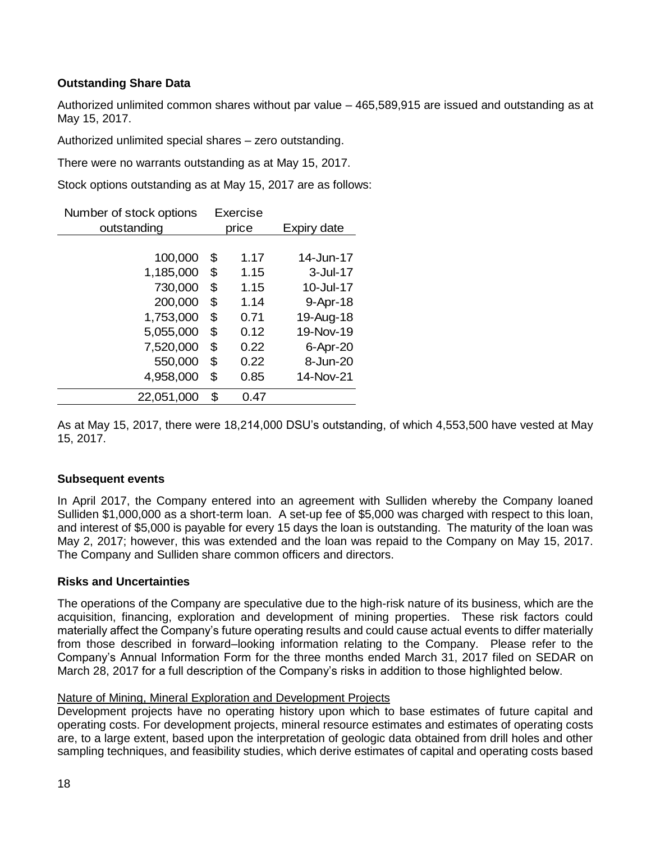## **Outstanding Share Data**

Authorized unlimited common shares without par value – 465,589,915 are issued and outstanding as at May 15, 2017.

Authorized unlimited special shares – zero outstanding.

There were no warrants outstanding as at May 15, 2017.

Stock options outstanding as at May 15, 2017 are as follows:

| Number of stock options | Exercise |       |             |
|-------------------------|----------|-------|-------------|
| outstanding             |          | price | Expiry date |
|                         |          |       |             |
| 100,000                 | \$       | 1.17  | 14-Jun-17   |
| 1,185,000               | \$       | 1.15  | $3$ -Jul-17 |
| 730,000                 | \$       | 1.15  | 10-Jul-17   |
| 200,000                 | \$       | 1.14  | 9-Apr-18    |
| 1,753,000               | \$       | 0.71  | 19-Aug-18   |
| 5,055,000               | \$       | 0.12  | 19-Nov-19   |
| 7,520,000               | \$       | 0.22  | 6-Apr-20    |
| 550,000                 | \$       | 0.22  | 8-Jun-20    |
| 4,958,000               | \$.      | 0.85  | 14-Nov-21   |
| 22,051,000              | \$       | 0.47  |             |

As at May 15, 2017, there were 18,214,000 DSU's outstanding, of which 4,553,500 have vested at May 15, 2017.

## **Subsequent events**

In April 2017, the Company entered into an agreement with Sulliden whereby the Company loaned Sulliden \$1,000,000 as a short-term loan. A set-up fee of \$5,000 was charged with respect to this loan, and interest of \$5,000 is payable for every 15 days the loan is outstanding. The maturity of the loan was May 2, 2017; however, this was extended and the loan was repaid to the Company on May 15, 2017. The Company and Sulliden share common officers and directors.

## **Risks and Uncertainties**

The operations of the Company are speculative due to the high-risk nature of its business, which are the acquisition, financing, exploration and development of mining properties. These risk factors could materially affect the Company's future operating results and could cause actual events to differ materially from those described in forward–looking information relating to the Company. Please refer to the Company's Annual Information Form for the three months ended March 31, 2017 filed on SEDAR on March 28, 2017 for a full description of the Company's risks in addition to those highlighted below.

## Nature of Mining, Mineral Exploration and Development Projects

Development projects have no operating history upon which to base estimates of future capital and operating costs. For development projects, mineral resource estimates and estimates of operating costs are, to a large extent, based upon the interpretation of geologic data obtained from drill holes and other sampling techniques, and feasibility studies, which derive estimates of capital and operating costs based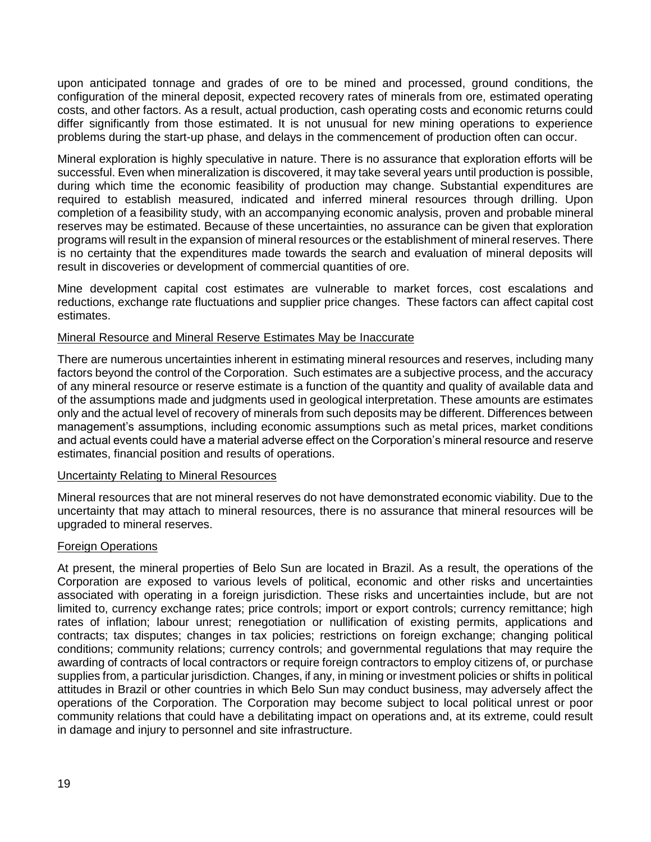upon anticipated tonnage and grades of ore to be mined and processed, ground conditions, the configuration of the mineral deposit, expected recovery rates of minerals from ore, estimated operating costs, and other factors. As a result, actual production, cash operating costs and economic returns could differ significantly from those estimated. It is not unusual for new mining operations to experience problems during the start-up phase, and delays in the commencement of production often can occur.

Mineral exploration is highly speculative in nature. There is no assurance that exploration efforts will be successful. Even when mineralization is discovered, it may take several years until production is possible, during which time the economic feasibility of production may change. Substantial expenditures are required to establish measured, indicated and inferred mineral resources through drilling. Upon completion of a feasibility study, with an accompanying economic analysis, proven and probable mineral reserves may be estimated. Because of these uncertainties, no assurance can be given that exploration programs will result in the expansion of mineral resources or the establishment of mineral reserves. There is no certainty that the expenditures made towards the search and evaluation of mineral deposits will result in discoveries or development of commercial quantities of ore.

Mine development capital cost estimates are vulnerable to market forces, cost escalations and reductions, exchange rate fluctuations and supplier price changes. These factors can affect capital cost estimates.

## Mineral Resource and Mineral Reserve Estimates May be Inaccurate

There are numerous uncertainties inherent in estimating mineral resources and reserves, including many factors beyond the control of the Corporation. Such estimates are a subjective process, and the accuracy of any mineral resource or reserve estimate is a function of the quantity and quality of available data and of the assumptions made and judgments used in geological interpretation. These amounts are estimates only and the actual level of recovery of minerals from such deposits may be different. Differences between management's assumptions, including economic assumptions such as metal prices, market conditions and actual events could have a material adverse effect on the Corporation's mineral resource and reserve estimates, financial position and results of operations.

#### Uncertainty Relating to Mineral Resources

Mineral resources that are not mineral reserves do not have demonstrated economic viability. Due to the uncertainty that may attach to mineral resources, there is no assurance that mineral resources will be upgraded to mineral reserves.

#### **Foreign Operations**

At present, the mineral properties of Belo Sun are located in Brazil. As a result, the operations of the Corporation are exposed to various levels of political, economic and other risks and uncertainties associated with operating in a foreign jurisdiction. These risks and uncertainties include, but are not limited to, currency exchange rates; price controls; import or export controls; currency remittance; high rates of inflation; labour unrest; renegotiation or nullification of existing permits, applications and contracts; tax disputes; changes in tax policies; restrictions on foreign exchange; changing political conditions; community relations; currency controls; and governmental regulations that may require the awarding of contracts of local contractors or require foreign contractors to employ citizens of, or purchase supplies from, a particular jurisdiction. Changes, if any, in mining or investment policies or shifts in political attitudes in Brazil or other countries in which Belo Sun may conduct business, may adversely affect the operations of the Corporation. The Corporation may become subject to local political unrest or poor community relations that could have a debilitating impact on operations and, at its extreme, could result in damage and injury to personnel and site infrastructure.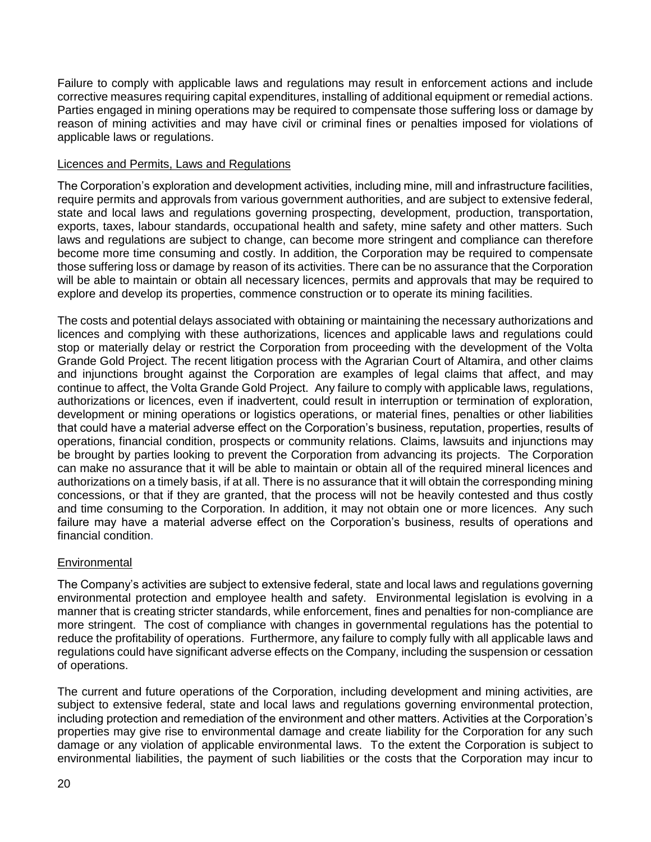Failure to comply with applicable laws and regulations may result in enforcement actions and include corrective measures requiring capital expenditures, installing of additional equipment or remedial actions. Parties engaged in mining operations may be required to compensate those suffering loss or damage by reason of mining activities and may have civil or criminal fines or penalties imposed for violations of applicable laws or regulations.

## Licences and Permits, Laws and Regulations

The Corporation's exploration and development activities, including mine, mill and infrastructure facilities, require permits and approvals from various government authorities, and are subject to extensive federal, state and local laws and regulations governing prospecting, development, production, transportation, exports, taxes, labour standards, occupational health and safety, mine safety and other matters. Such laws and regulations are subject to change, can become more stringent and compliance can therefore become more time consuming and costly. In addition, the Corporation may be required to compensate those suffering loss or damage by reason of its activities. There can be no assurance that the Corporation will be able to maintain or obtain all necessary licences, permits and approvals that may be required to explore and develop its properties, commence construction or to operate its mining facilities.

The costs and potential delays associated with obtaining or maintaining the necessary authorizations and licences and complying with these authorizations, licences and applicable laws and regulations could stop or materially delay or restrict the Corporation from proceeding with the development of the Volta Grande Gold Project. The recent litigation process with the Agrarian Court of Altamira, and other claims and injunctions brought against the Corporation are examples of legal claims that affect, and may continue to affect, the Volta Grande Gold Project. Any failure to comply with applicable laws, regulations, authorizations or licences, even if inadvertent, could result in interruption or termination of exploration, development or mining operations or logistics operations, or material fines, penalties or other liabilities that could have a material adverse effect on the Corporation's business, reputation, properties, results of operations, financial condition, prospects or community relations. Claims, lawsuits and injunctions may be brought by parties looking to prevent the Corporation from advancing its projects. The Corporation can make no assurance that it will be able to maintain or obtain all of the required mineral licences and authorizations on a timely basis, if at all. There is no assurance that it will obtain the corresponding mining concessions, or that if they are granted, that the process will not be heavily contested and thus costly and time consuming to the Corporation. In addition, it may not obtain one or more licences. Any such failure may have a material adverse effect on the Corporation's business, results of operations and financial condition.

## **Environmental**

The Company's activities are subject to extensive federal, state and local laws and regulations governing environmental protection and employee health and safety. Environmental legislation is evolving in a manner that is creating stricter standards, while enforcement, fines and penalties for non-compliance are more stringent. The cost of compliance with changes in governmental regulations has the potential to reduce the profitability of operations. Furthermore, any failure to comply fully with all applicable laws and regulations could have significant adverse effects on the Company, including the suspension or cessation of operations.

The current and future operations of the Corporation, including development and mining activities, are subject to extensive federal, state and local laws and regulations governing environmental protection, including protection and remediation of the environment and other matters. Activities at the Corporation's properties may give rise to environmental damage and create liability for the Corporation for any such damage or any violation of applicable environmental laws. To the extent the Corporation is subject to environmental liabilities, the payment of such liabilities or the costs that the Corporation may incur to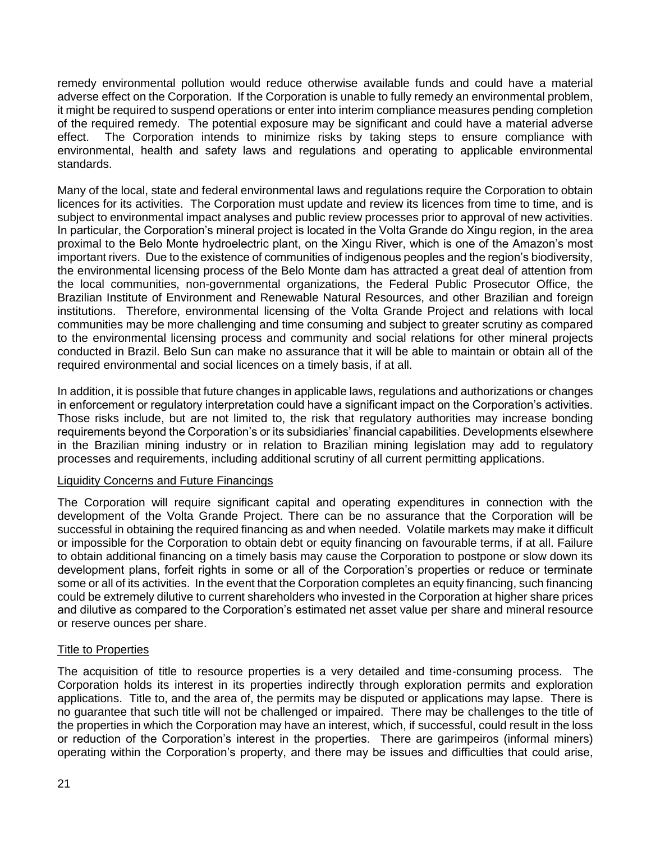remedy environmental pollution would reduce otherwise available funds and could have a material adverse effect on the Corporation. If the Corporation is unable to fully remedy an environmental problem, it might be required to suspend operations or enter into interim compliance measures pending completion of the required remedy. The potential exposure may be significant and could have a material adverse effect. The Corporation intends to minimize risks by taking steps to ensure compliance with environmental, health and safety laws and regulations and operating to applicable environmental standards.

Many of the local, state and federal environmental laws and regulations require the Corporation to obtain licences for its activities. The Corporation must update and review its licences from time to time, and is subject to environmental impact analyses and public review processes prior to approval of new activities. In particular, the Corporation's mineral project is located in the Volta Grande do Xingu region, in the area proximal to the Belo Monte hydroelectric plant, on the Xingu River, which is one of the Amazon's most important rivers. Due to the existence of communities of indigenous peoples and the region's biodiversity, the environmental licensing process of the Belo Monte dam has attracted a great deal of attention from the local communities, non-governmental organizations, the Federal Public Prosecutor Office, the Brazilian Institute of Environment and Renewable Natural Resources, and other Brazilian and foreign institutions. Therefore, environmental licensing of the Volta Grande Project and relations with local communities may be more challenging and time consuming and subject to greater scrutiny as compared to the environmental licensing process and community and social relations for other mineral projects conducted in Brazil. Belo Sun can make no assurance that it will be able to maintain or obtain all of the required environmental and social licences on a timely basis, if at all.

In addition, it is possible that future changes in applicable laws, regulations and authorizations or changes in enforcement or regulatory interpretation could have a significant impact on the Corporation's activities. Those risks include, but are not limited to, the risk that regulatory authorities may increase bonding requirements beyond the Corporation's or its subsidiaries' financial capabilities. Developments elsewhere in the Brazilian mining industry or in relation to Brazilian mining legislation may add to regulatory processes and requirements, including additional scrutiny of all current permitting applications.

## Liquidity Concerns and Future Financings

The Corporation will require significant capital and operating expenditures in connection with the development of the Volta Grande Project. There can be no assurance that the Corporation will be successful in obtaining the required financing as and when needed. Volatile markets may make it difficult or impossible for the Corporation to obtain debt or equity financing on favourable terms, if at all. Failure to obtain additional financing on a timely basis may cause the Corporation to postpone or slow down its development plans, forfeit rights in some or all of the Corporation's properties or reduce or terminate some or all of its activities. In the event that the Corporation completes an equity financing, such financing could be extremely dilutive to current shareholders who invested in the Corporation at higher share prices and dilutive as compared to the Corporation's estimated net asset value per share and mineral resource or reserve ounces per share.

## Title to Properties

The acquisition of title to resource properties is a very detailed and time-consuming process. The Corporation holds its interest in its properties indirectly through exploration permits and exploration applications. Title to, and the area of, the permits may be disputed or applications may lapse. There is no guarantee that such title will not be challenged or impaired. There may be challenges to the title of the properties in which the Corporation may have an interest, which, if successful, could result in the loss or reduction of the Corporation's interest in the properties. There are garimpeiros (informal miners) operating within the Corporation's property, and there may be issues and difficulties that could arise,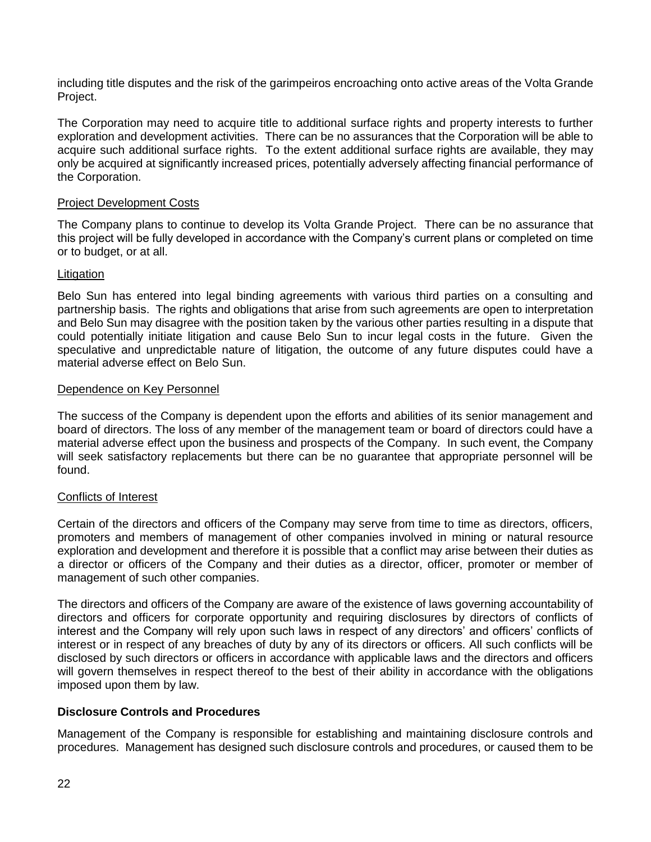including title disputes and the risk of the garimpeiros encroaching onto active areas of the Volta Grande Project.

The Corporation may need to acquire title to additional surface rights and property interests to further exploration and development activities. There can be no assurances that the Corporation will be able to acquire such additional surface rights. To the extent additional surface rights are available, they may only be acquired at significantly increased prices, potentially adversely affecting financial performance of the Corporation.

## Project Development Costs

The Company plans to continue to develop its Volta Grande Project. There can be no assurance that this project will be fully developed in accordance with the Company's current plans or completed on time or to budget, or at all.

## Litigation

Belo Sun has entered into legal binding agreements with various third parties on a consulting and partnership basis. The rights and obligations that arise from such agreements are open to interpretation and Belo Sun may disagree with the position taken by the various other parties resulting in a dispute that could potentially initiate litigation and cause Belo Sun to incur legal costs in the future. Given the speculative and unpredictable nature of litigation, the outcome of any future disputes could have a material adverse effect on Belo Sun.

#### Dependence on Key Personnel

The success of the Company is dependent upon the efforts and abilities of its senior management and board of directors. The loss of any member of the management team or board of directors could have a material adverse effect upon the business and prospects of the Company. In such event, the Company will seek satisfactory replacements but there can be no guarantee that appropriate personnel will be found.

#### Conflicts of Interest

Certain of the directors and officers of the Company may serve from time to time as directors, officers, promoters and members of management of other companies involved in mining or natural resource exploration and development and therefore it is possible that a conflict may arise between their duties as a director or officers of the Company and their duties as a director, officer, promoter or member of management of such other companies.

The directors and officers of the Company are aware of the existence of laws governing accountability of directors and officers for corporate opportunity and requiring disclosures by directors of conflicts of interest and the Company will rely upon such laws in respect of any directors' and officers' conflicts of interest or in respect of any breaches of duty by any of its directors or officers. All such conflicts will be disclosed by such directors or officers in accordance with applicable laws and the directors and officers will govern themselves in respect thereof to the best of their ability in accordance with the obligations imposed upon them by law.

## **Disclosure Controls and Procedures**

Management of the Company is responsible for establishing and maintaining disclosure controls and procedures. Management has designed such disclosure controls and procedures, or caused them to be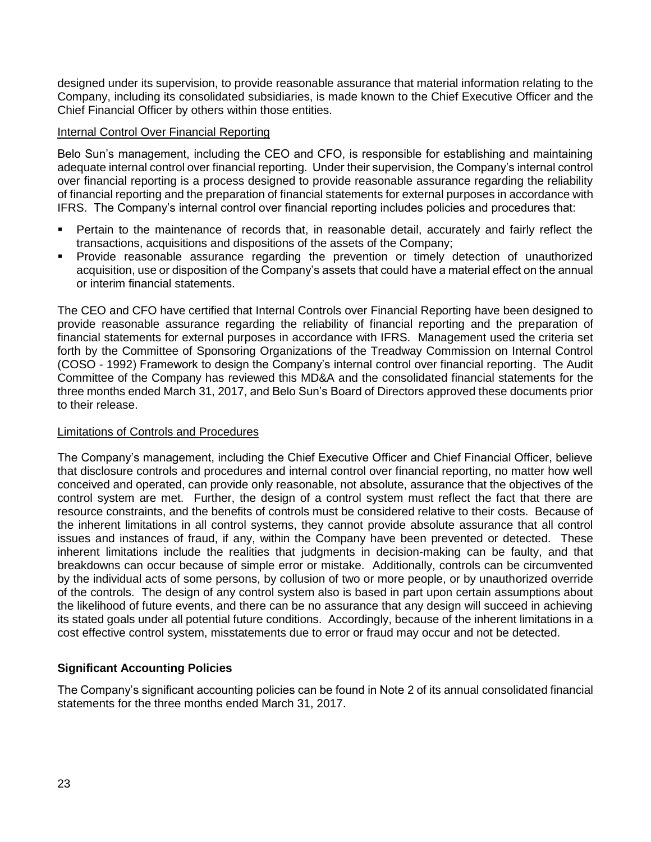designed under its supervision, to provide reasonable assurance that material information relating to the Company, including its consolidated subsidiaries, is made known to the Chief Executive Officer and the Chief Financial Officer by others within those entities.

## Internal Control Over Financial Reporting

Belo Sun's management, including the CEO and CFO, is responsible for establishing and maintaining adequate internal control over financial reporting. Under their supervision, the Company's internal control over financial reporting is a process designed to provide reasonable assurance regarding the reliability of financial reporting and the preparation of financial statements for external purposes in accordance with IFRS. The Company's internal control over financial reporting includes policies and procedures that:

- Pertain to the maintenance of records that, in reasonable detail, accurately and fairly reflect the transactions, acquisitions and dispositions of the assets of the Company;
- Provide reasonable assurance regarding the prevention or timely detection of unauthorized acquisition, use or disposition of the Company's assets that could have a material effect on the annual or interim financial statements.

The CEO and CFO have certified that Internal Controls over Financial Reporting have been designed to provide reasonable assurance regarding the reliability of financial reporting and the preparation of financial statements for external purposes in accordance with IFRS. Management used the criteria set forth by the Committee of Sponsoring Organizations of the Treadway Commission on Internal Control (COSO - 1992) Framework to design the Company's internal control over financial reporting. The Audit Committee of the Company has reviewed this MD&A and the consolidated financial statements for the three months ended March 31, 2017, and Belo Sun's Board of Directors approved these documents prior to their release.

#### Limitations of Controls and Procedures

The Company's management, including the Chief Executive Officer and Chief Financial Officer, believe that disclosure controls and procedures and internal control over financial reporting, no matter how well conceived and operated, can provide only reasonable, not absolute, assurance that the objectives of the control system are met. Further, the design of a control system must reflect the fact that there are resource constraints, and the benefits of controls must be considered relative to their costs. Because of the inherent limitations in all control systems, they cannot provide absolute assurance that all control issues and instances of fraud, if any, within the Company have been prevented or detected. These inherent limitations include the realities that judgments in decision-making can be faulty, and that breakdowns can occur because of simple error or mistake. Additionally, controls can be circumvented by the individual acts of some persons, by collusion of two or more people, or by unauthorized override of the controls. The design of any control system also is based in part upon certain assumptions about the likelihood of future events, and there can be no assurance that any design will succeed in achieving its stated goals under all potential future conditions. Accordingly, because of the inherent limitations in a cost effective control system, misstatements due to error or fraud may occur and not be detected.

## **Significant Accounting Policies**

The Company's significant accounting policies can be found in Note 2 of its annual consolidated financial statements for the three months ended March 31, 2017.